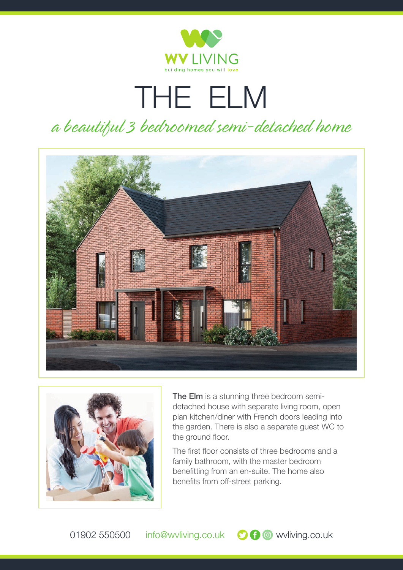

## THE ELM *a beautiful 3 bedroomed semi-detached home*





**The Elm** is a stunning three bedroom semidetached house with separate living room, open plan kitchen/diner with French doors leading into the garden. There is also a separate guest WC to the ground floor.

The first floor consists of three bedrooms and a family bathroom, with the master bedroom benefitting from an en-suite. The home also benefits from off-street parking.